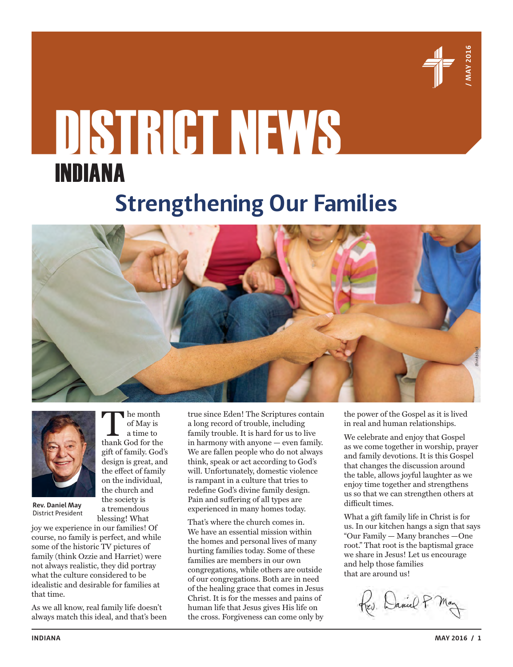

# DISTRICT NEWS INDIANA

# **Strengthening Our Families**





**Rev. Daniel May** District President

joy we experience in our families! Of course, no family is perfect, and while some of the historic TV pictures of family (think Ozzie and Harriet) were not always realistic, they did portray what the culture considered to be idealistic and desirable for families at that time.

of May is a time to

gift of family. God's design is great, and the effect of family on the individual, the church and the society is a tremendous blessing! What

As we all know, real family life doesn't always match this ideal, and that's been true since Eden! The Scriptures contain a long record of trouble, including family trouble. It is hard for us to live in harmony with anyone — even family. We are fallen people who do not always think, speak or act according to God's will. Unfortunately, domestic violence is rampant in a culture that tries to redefine God's divine family design. Pain and suffering of all types are experienced in many homes today.

That's where the church comes in. We have an essential mission within the homes and personal lives of many hurting families today. Some of these families are members in our own congregations, while others are outside of our congregations. Both are in need of the healing grace that comes in Jesus Christ. It is for the messes and pains of human life that Jesus gives His life on the cross. Forgiveness can come only by the power of the Gospel as it is lived in real and human relationships.

We celebrate and enjoy that Gospel as we come together in worship, prayer and family devotions. It is this Gospel that changes the discussion around the table, allows joyful laughter as we enjoy time together and strengthens us so that we can strengthen others at difficult times.

What a gift family life in Christ is for us. In our kitchen hangs a sign that says "Our Family — Many branches —One root." That root is the baptismal grace we share in Jesus! Let us encourage and help those families that are around us!

Rev. Daniel P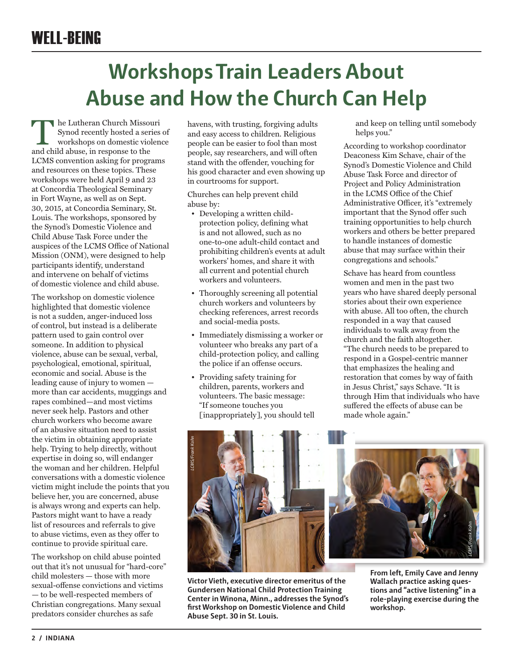### WELL-BEING

# **Workshops Train Leaders About Abuse and How the Church Can Help**

**The Lutheran Church Missouri**<br>
Synod recently hosted a series of<br>
workshops on domestic violence<br>
and child abuse in response to the Synod recently hosted a series of and child abuse, in response to the LCMS convention asking for programs and resources on these topics. These workshops were held April 9 and 23 at Concordia Theological Seminary in Fort Wayne, as well as on Sept. 30, 2015, at Concordia Seminary, St. Louis. The workshops, sponsored by the Synod's Domestic Violence and Child Abuse Task Force under the auspices of the LCMS Office of National Mission (ONM), were designed to help participants identify, understand and intervene on behalf of victims of domestic violence and child abuse.

The workshop on domestic violence highlighted that domestic violence is not a sudden, anger-induced loss of control, but instead is a deliberate pattern used to gain control over someone. In addition to physical violence, abuse can be sexual, verbal, psychological, emotional, spiritual, economic and social. Abuse is the leading cause of injury to women more than car accidents, muggings and rapes combined—and most victims never seek help. Pastors and other church workers who become aware of an abusive situation need to assist the victim in obtaining appropriate help. Trying to help directly, without expertise in doing so, will endanger the woman and her children. Helpful conversations with a domestic violence victim might include the points that you believe her, you are concerned, abuse is always wrong and experts can help. Pastors might want to have a ready list of resources and referrals to give to abuse victims, even as they offer to continue to provide spiritual care.

The workshop on child abuse pointed out that it's not unusual for "hard-core" child molesters — those with more sexual-offense convictions and victims — to be well-respected members of Christian congregations. Many sexual predators consider churches as safe

havens, with trusting, forgiving adults and easy access to children. Religious people can be easier to fool than most people, say researchers, and will often stand with the offender, vouching for his good character and even showing up in courtrooms for support.

Churches can help prevent child abuse by:

- Developing a written childprotection policy, defining what is and not allowed, such as no one-to-one adult-child contact and prohibiting children's events at adult workers' homes, and share it with all current and potential church workers and volunteers.
- Thoroughly screening all potential church workers and volunteers by checking references, arrest records and social-media posts.
- Immediately dismissing a worker or volunteer who breaks any part of a child-protection policy, and calling the police if an offense occurs.
- Providing safety training for children, parents, workers and volunteers. The basic message: "If someone touches you [inappropriately], you should tell

and keep on telling until somebody helps you."

According to workshop coordinator Deaconess Kim Schave, chair of the Synod's Domestic Violence and Child Abuse Task Force and director of Project and Policy Administration in the LCMS Office of the Chief Administrative Officer, it's "extremely important that the Synod offer such training opportunities to help church workers and others be better prepared to handle instances of domestic abuse that may surface within their congregations and schools."

Schave has heard from countless women and men in the past two years who have shared deeply personal stories about their own experience with abuse. All too often, the church responded in a way that caused individuals to walk away from the church and the faith altogether. "The church needs to be prepared to respond in a Gospel-centric manner that emphasizes the healing and restoration that comes by way of faith in Jesus Christ," says Schave. "It is through Him that individuals who have suffered the effects of abuse can be made whole again."



**Victor Vieth, executive director emeritus of the Gundersen National Child Protection Training Center in Winona, Minn., addresses the Synod's first Workshop on Domestic Violence and Child Abuse Sept. 30 in St. Louis.**

**From left, Emily Cave and Jenny Wallach practice asking questions and "active listening" in a role-playing exercise during the workshop.**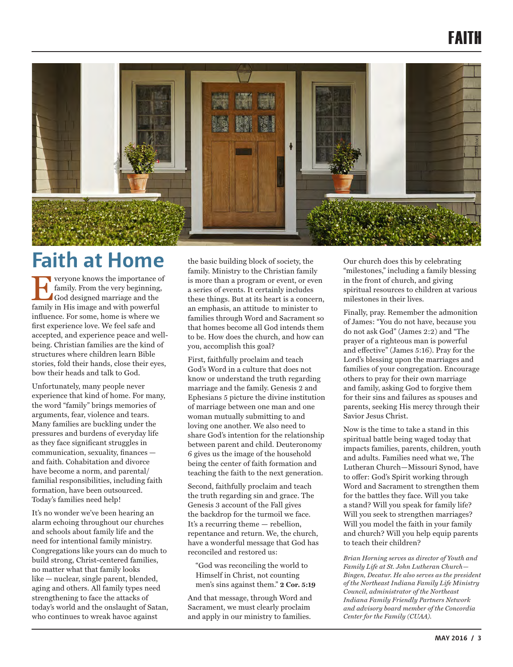### FAITH



### **Faith at Home**

Everyone knows the importance of<br>family. From the very beginning,<br>God designed marriage and the<br>family in His image and with nowerful family. From the very beginning, God designed marriage and the family in His image and with powerful influence. For some, home is where we first experience love. We feel safe and accepted, and experience peace and wellbeing. Christian families are the kind of structures where children learn Bible stories, fold their hands, close their eyes, bow their heads and talk to God.

Unfortunately, many people never experience that kind of home. For many, the word "family" brings memories of arguments, fear, violence and tears. Many families are buckling under the pressures and burdens of everyday life as they face significant struggles in communication, sexuality, finances and faith. Cohabitation and divorce have become a norm, and parental/ familial responsibilities, including faith formation, have been outsourced. Today's families need help!

It's no wonder we've been hearing an alarm echoing throughout our churches and schools about family life and the need for intentional family ministry. Congregations like yours can do much to build strong, Christ-centered families, no matter what that family looks like — nuclear, single parent, blended, aging and others. All family types need strengthening to face the attacks of today's world and the onslaught of Satan, who continues to wreak havoc against

the basic building block of society, the family. Ministry to the Christian family is more than a program or event, or even a series of events. It certainly includes these things. But at its heart is a concern, an emphasis, an attitude to minister to families through Word and Sacrament so that homes become all God intends them to be. How does the church, and how can you, accomplish this goal?

First, faithfully proclaim and teach God's Word in a culture that does not know or understand the truth regarding marriage and the family. Genesis 2 and Ephesians 5 picture the divine institution of marriage between one man and one woman mutually submitting to and loving one another. We also need to share God's intention for the relationship between parent and child. Deuteronomy 6 gives us the image of the household being the center of faith formation and teaching the faith to the next generation.

Second, faithfully proclaim and teach the truth regarding sin and grace. The Genesis 3 account of the Fall gives the backdrop for the turmoil we face. It's a recurring theme — rebellion, repentance and return. We, the church, have a wonderful message that God has reconciled and restored us:

"God was reconciling the world to Himself in Christ, not counting men's sins against them." **2 Cor. 5:19**

And that message, through Word and Sacrament, we must clearly proclaim and apply in our ministry to families.

Our church does this by celebrating "milestones," including a family blessing in the front of church, and giving spiritual resources to children at various milestones in their lives.

Finally, pray. Remember the admonition of James: "You do not have, because you do not ask God" (James 2:2) and "The prayer of a righteous man is powerful and effective" (James 5:16). Pray for the Lord's blessing upon the marriages and families of your congregation. Encourage others to pray for their own marriage and family, asking God to forgive them for their sins and failures as spouses and parents, seeking His mercy through their Savior Jesus Christ.

Now is the time to take a stand in this spiritual battle being waged today that impacts families, parents, children, youth and adults. Families need what we, The Lutheran Church—Missouri Synod, have to offer: God's Spirit working through Word and Sacrament to strengthen them for the battles they face. Will you take a stand? Will you speak for family life? Will you seek to strengthen marriages? Will you model the faith in your family and church? Will you help equip parents to teach their children?

*Brian Horning serves as director of Youth and Family Life at St. John Lutheran Church— Bingen, Decatur. He also serves as the president of the Northeast Indiana Family Life Ministry Council, administrator of the Northeast Indiana Family Friendly Partners Network and advisory board member of the Concordia Center for the Family (CUAA).*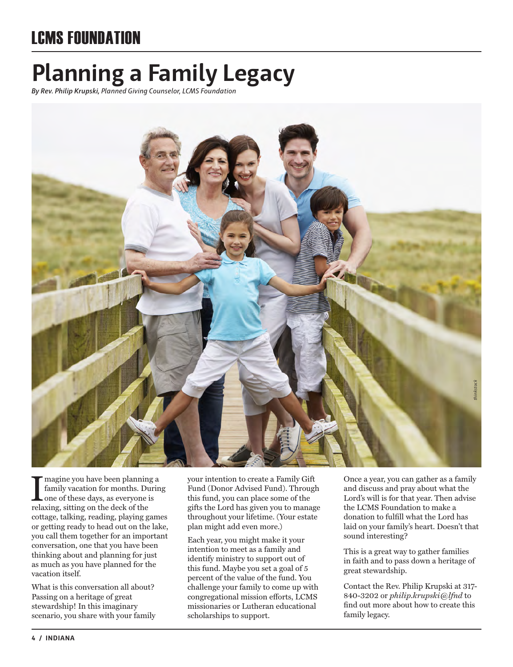### LCMS FOUNDATION

# **Planning a Family Legacy**

*By Rev. Philip Krupski, Planned Giving Counselor, LCMS Foundation*



Imagine you have been planning<br>family vacation for months. Du<br>one of these days, as everyone is<br>relaxing, sitting on the deck of the magine you have been planning a family vacation for months. During one of these days, as everyone is cottage, talking, reading, playing games or getting ready to head out on the lake, you call them together for an important conversation, one that you have been thinking about and planning for just as much as you have planned for the vacation itself.

What is this conversation all about? Passing on a heritage of great stewardship! In this imaginary scenario, you share with your family your intention to create a Family Gift Fund (Donor Advised Fund). Through this fund, you can place some of the gifts the Lord has given you to manage throughout your lifetime. (Your estate plan might add even more.)

Each year, you might make it your intention to meet as a family and identify ministry to support out of this fund. Maybe you set a goal of 5 percent of the value of the fund. You challenge your family to come up with congregational mission efforts, LCMS missionaries or Lutheran educational scholarships to support.

Once a year, you can gather as a family and discuss and pray about what the Lord's will is for that year. Then advise the LCMS Foundation to make a donation to fulfill what the Lord has laid on your family's heart. Doesn't that sound interesting?

This is a great way to gather families in faith and to pass down a heritage of great stewardship.

Contact the Rev. Philip Krupski at 317- 840-3202 or *philip.krupski@lfnd* to find out more about how to create this family legacy.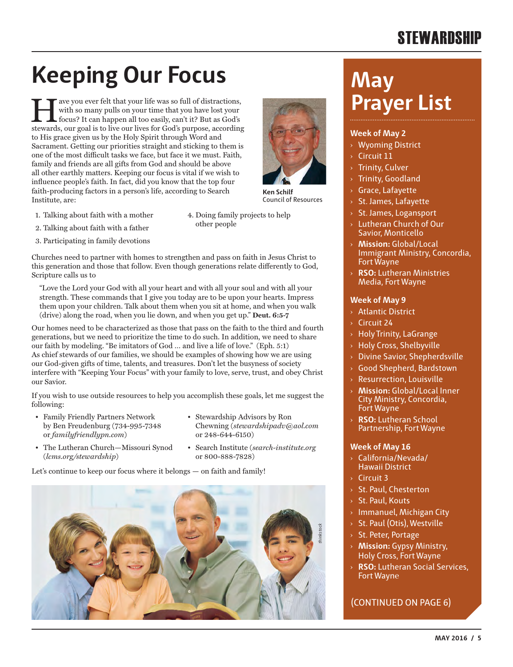### **STEWARDSHIP**

# **Keeping Our Focus**

The ave you ever felt that your life was so full of distractions,<br>with so many pulls on your time that you have lost your<br>focus? It can happen all too easily, can't it? But as God's<br>stewards, our goal is to live our lives with so many pulls on your time that you have lost your focus? It can happen all too easily, can't it? But as God's stewards, our goal is to live our lives for God's purpose, according to His grace given us by the Holy Spirit through Word and Sacrament. Getting our priorities straight and sticking to them is one of the most difficult tasks we face, but face it we must. Faith, family and friends are all gifts from God and should be above all other earthly matters. Keeping our focus is vital if we wish to influence people's faith. In fact, did you know that the top four faith-producing factors in a person's life, according to Search Institute, are:

- 1. Talking about faith with a mother
- 4. Doing family projects to help other people

**Ken Schilf** Council of Resources

- 2. Talking about faith with a father
- 3. Participating in family devotions

Churches need to partner with homes to strengthen and pass on faith in Jesus Christ to this generation and those that follow. Even though generations relate differently to God, Scripture calls us to

"Love the Lord your God with all your heart and with all your soul and with all your strength. These commands that I give you today are to be upon your hearts. Impress them upon your children. Talk about them when you sit at home, and when you walk (drive) along the road, when you lie down, and when you get up." **Deut. 6:5-7**

Our homes need to be characterized as those that pass on the faith to the third and fourth generations, but we need to prioritize the time to do such. In addition, we need to share our faith by modeling. "Be imitators of God … and live a life of love." (Eph. 5:1) As chief stewards of our families, we should be examples of showing how we are using our God-given gifts of time, talents, and treasures. Don't let the busyness of society interfere with "Keeping Your Focus" with your family to love, serve, trust, and obey Christ our Savior.

If you wish to use outside resources to help you accomplish these goals, let me suggest the following:

- Family Friendly Partners Network by Ben Freudenburg (734-995-7348 or *familyfriendlypn.com*)
- Stewardship Advisors by Ron Chewning (*stewardshipadv@aol.com* or 248-644-6150)
- The Lutheran Church—Missouri Synod (*lcms.org/stewardship*)
- Search Institute (*search-institute.org* or 800-888-7828)

Let's continue to keep our focus where it belongs — on faith and family!



## **May Prayer List**

### **Week of May 2**

- › Wyoming District
- Circuit 11
- **Trinity, Culver**
- › Trinity, Goodland
- › Grace, Lafayette
- › St. James, Lafayette
- › St. James, Logansport
- › Lutheran Church of Our Savior, Monticello
- › **Mission:** Global/Local Immigrant Ministry, Concordia, Fort Wayne
- › **RSO:** Lutheran Ministries Media, Fort Wayne

### **Week of May 9**

- › Atlantic District
- Circuit 24
- › Holy Trinity, LaGrange
- › Holy Cross, Shelbyville
- › Divine Savior, Shepherdsville
- › Good Shepherd, Bardstown
- › Resurrection, Louisville
- › **Mission:** Global/Local Inner City Ministry, Concordia, Fort Wayne
- **RSO:** Lutheran School Partnership, Fort Wayne

### **Week of May 16**

- › California/Nevada/ Hawaii District
- $\rightarrow$  Circuit 3
- › St. Paul, Chesterton
- › St. Paul, Kouts
- › Immanuel, Michigan City
- › St. Paul (Otis), Westville
- › St. Peter, Portage
- › **Mission:** Gypsy Ministry, Holy Cross, Fort Wayne
- › **RSO:** Lutheran Social Services, Fort Wayne

### (CONTINUED ON PAGE 6)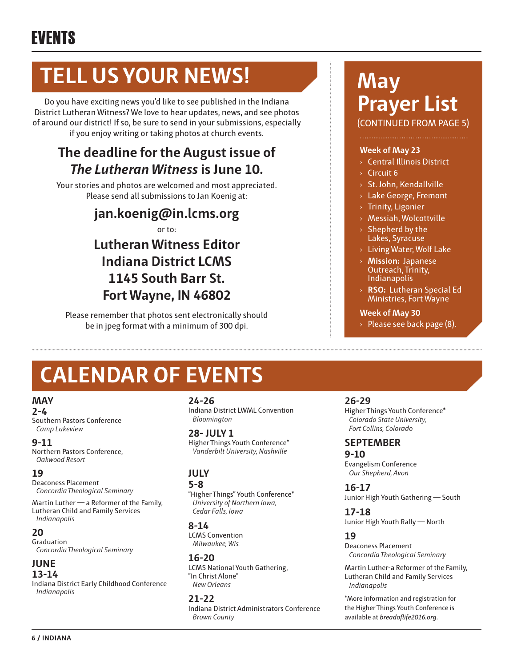# **TELL US YOUR NEWS!**

Do you have exciting news you'd like to see published in the Indiana District Lutheran Witness? We love to hear updates, news, and see photos of around our district! If so, be sure to send in your submissions, especially if you enjoy writing or taking photos at church events.

### **The deadline for the August issue of**  *The Lutheran Witness* **is June 10.**

Your stories and photos are welcomed and most appreciated. Please send all submissions to Jan Koenig at:

> **jan.koenig@in.lcms.org** or to: **Lutheran Witness Editor Indiana District LCMS 1145 South Barr St. Fort Wayne, IN 46802**

Please remember that photos sent electronically should be in jpeg format with a minimum of 300 dpi.

# **CALENDAR OF EVENTS**

### **MAY**

**2-4**

Southern Pastors Conference *Camp Lakeview*

### **9-11**

Northern Pastors Conference, *Oakwood Resort*

### **19**

Deaconess Placement *Concordia Theological Seminary*

Martin Luther — a Reformer of the Family, Lutheran Child and Family Services *Indianapolis*

### **20**

Graduation  *Concordia Theological Seminary*

### **JUNE**

**13-14**

Indiana District Early Childhood Conference *Indianapolis*

### **24-26**

Indiana District LWML Convention *Bloomington*

**28- JULY 1** Higher Things Youth Conference\* *Vanderbilt University, Nashville*

### **JULY**

### **5-8**

"Higher Things" Youth Conference\* *University of Northern Iowa, Cedar Falls, Iowa*

### **8-14**

LCMS Convention *Milwaukee, Wis.*

**16-20** LCMS National Youth Gathering, "In Christ Alone" *New Orleans*

### **21-22**

Indiana District Administrators Conference *Brown County*

# **May Prayer List**

(CONTINUED FROM PAGE 5)

### **Week of May 23**

- › Central Illinois District
- $\times$  Circuit 6
- › St. John, Kendallville
- › Lake George, Fremont
- › Trinity, Ligonier
- › Messiah, Wolcottville
- Shepherd by the Lakes, Syracuse
- › Living Water, Wolf Lake
- › **Mission:** Japanese Outreach, Trinity, Indianapolis
- › **RSO:** Lutheran Special Ed Ministries, Fort Wayne

### **Week of May 30**

 $\rightarrow$  Please see back page (8).

### **26-29**

Higher Things Youth Conference\* *Colorado State University, Fort Collins, Colorado*

### **SEPTEMBER**

**9-10** Evangelism Conference *Our Shepherd, Avon*

**16-17** Junior High Youth Gathering — South

**17-18** Junior High Youth Rally — North

### **19**

Deaconess Placement *Concordia Theological Seminary*

Martin Luther-a Reformer of the Family, Lutheran Child and Family Services *Indianapolis*

\*More information and registration for the Higher Things Youth Conference is available at *breadoflife2016.org*.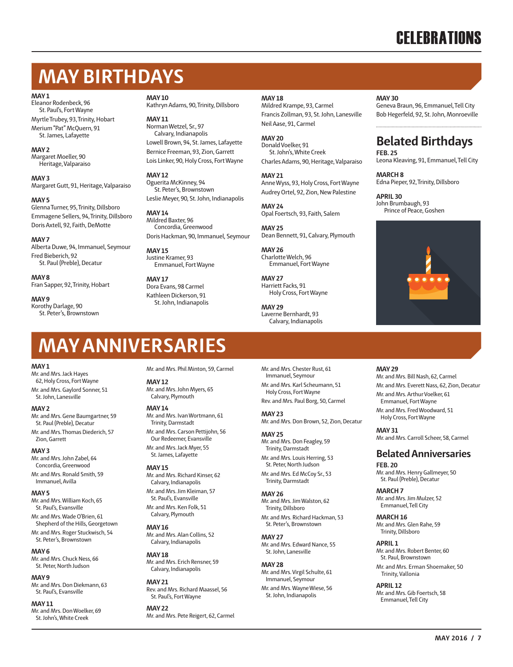### **CELEBRATIONS**

### **MAY BIRTHDAYS**

### **MAY 1**

Eleanor Rodenbeck, 96 St. Paul's, Fort Wayne Myrtle Trubey, 93, Trinity, Hobart Merium "Pat" McQuern, 91

St. James, Lafayette **MAY 2**

Margaret Moeller, 90 Heritage, Valparaiso

#### **MAY 3**

Margaret Gutt, 91, Heritage, Valparaiso

#### **MAY 5**

Glenna Turner, 95, Trinity, Dillsboro Emmagene Sellers, 94, Trinity, Dillsboro Doris Axtell, 92, Faith, DeMotte

#### **MAY 7**

Alberta Duwe, 94, Immanuel, Seymour Fred Bieberich, 92 St. Paul (Preble), Decatur

**MAY 8** Fran Sapper, 92, Trinity, Hobart

**MAY 9** Korothy Darlage, 90 St. Peter's, Brownstown **MAY 10**

Kathryn Adams, 90, Trinity, Dillsboro

**MAY 11** Norman Wetzel, Sr., 97 Calvary, Indianapolis Lowell Brown, 94, St. James, Lafayette Bernice Freeman, 93, Zion, Garrett Lois Linker, 90, Holy Cross, Fort Wayne

#### **MAY 12**

Oguerita McKinney, 94 St. Peter's, Brownstown Leslie Meyer, 90, St. John, Indianapolis

### **MAY 14**

Mildred Baxter, 96 Concordia, Greenwood Doris Hackman, 90, Immanuel, Seymour

#### **MAY 15** Justine Kramer, 93 Emmanuel, Fort Wayne

**MAY 17** Dora Evans, 98 Carmel Kathleen Dickerson, 91 St. John, Indianapolis

### **MAY 18**

Mildred Krampe, 93, Carmel Francis Zollman, 93, St. John, Lanesville Neil Aase, 91, Carmel

**MAY 20** Donald Voelker, 91 St. John's, White Creek Charles Adams, 90, Heritage, Valparaiso

**MAY 21** Anne Wyss, 93, Holy Cross, Fort Wayne Audrey Ortel, 92, Zion, New Palestine

**MAY 24** Opal Foertsch, 93, Faith, Salem

**MAY 25** Dean Bennett, 91, Calvary, Plymouth

**MAY 26** Charlotte Welch, 96 Emmanuel, Fort Wayne

**MAY 27** Harriett Facks, 91 Holy Cross, Fort Wayne

**MAY 29** Laverne Bernhardt, 93 Calvary, Indianapolis **MAY 30**

Geneva Braun, 96, Emmanuel, Tell City Bob Hegerfeld, 92, St. John, Monroeville

### **Belated Birthdays**

**FEB. 25** Leona Kleaving, 91, Emmanuel, Tell City

**MARCH 8** Edna Pieper, 92, Trinity, Dillsboro

**APRIL 30** John Brumbaugh, 93 Prince of Peace, Goshen



### **MAY ANNIVERSARIES**

#### **MAY 1**

Mr. and Mrs. Jack Hayes 62, Holy Cross, Fort Wayne Mr. and Mrs. Gaylord Sonner, 51

St. John, Lanesville

#### **MAY 2**

Mr. and Mrs. Gene Baumgartner, 59 St. Paul (Preble), Decatur Mr. and Mrs. Thomas Diederich, 57

Zion, Garrett

### **MAY 3**

Mr. and Mrs. John Zabel, 64 Concordia, Greenwood

Mr. and Mrs. Ronald Smith, 59 Immanuel, Avilla

### **MAY 5**

Mr. and Mrs. William Koch, 65 St. Paul's, Evansville Mr. and Mrs. Wade O'Brien, 61

Shepherd of the Hills, Georgetown Mr. and Mrs. Roger Stuckwisch, 54

St. Peter's, Brownstown **MAY 6**

Mr. and Mrs. Chuck Ness, 66 St. Peter, North Judson

**MAY 9** Mr. and Mrs. Don Diekmann, 63 St. Paul's, Evansville

**MAY 11** Mr. and Mrs. Don Woelker, 69 St. John's, White Creek

Mr. and Mrs. Phil Minton, 59, Carmel

### **MAY 12**

Mr. and Mrs. John Myers, 65 Calvary, Plymouth

#### **MAY 14**

Mr. and Mrs. Ivan Wortmann, 61 Trinity, Darmstadt

Mr. and Mrs. Carson Pettijohn, 56 Our Redeemer, Evansville Mr. and Mrs. Jack Myer, 55 St. James, Lafayette

#### **MAY 15**

Mr. and Mrs. Richard Kinser, 62 Calvary, Indianapolis Mr. and Mrs. Jim Kleiman, 57 St. Paul's, Evansville

Mr. and Mrs. Ken Folk, 51 Calvary, Plymouth

### **MAY 16**

Mr. and Mrs. Alan Collins, 52 Calvary, Indianapolis

#### **MAY 18** Mr. and Mrs. Erich Rensner, 59 Calvary, Indianapolis

**MAY 21** Rev. and Mrs. Richard Maassel, 56 St. Paul's, Fort Wayne

**MAY 22** Mr. and Mrs. Pete Reigert, 62, Carmel Mr. and Mrs. Chester Rust, 61 Immanuel, Seymour

Mr. and Mrs. Karl Scheumann, 51 Holy Cross, Fort Wayne Rev. and Mrs. Paul Borg, 50, Carmel

**MAY 23**

Mr. and Mrs. Don Brown, 52, Zion, Decatur

### **MAY 25** Mr. and Mrs. Don Feagley, 59

Trinity, Darmstadt Mr. and Mrs. Louis Herring, 53 St. Peter, North Judson

Mr. and Mrs. Ed McCoy Sr., 53 Trinity, Darmstadt

### **MAY 26**

Mr. and Mrs. Jim Walston, 62 Trinity, Dillsboro Mr. and Mrs. Richard Hackman, 53 St. Peter's, Brownstown

### **MAY 27** Mr. and Mrs. Edward Nance, 55 St. John, Lanesville

**MAY 28** Mr. and Mrs. Virgil Schulte, 61

Immanuel, Seymour Mr. and Mrs. Wayne Wiese, 56 St. John, Indianapolis

#### **MAY 29**

Mr. and Mrs. Bill Nash, 62, Carmel Mr. and Mrs. Everett Nass, 62, Zion, Decatur Mr. and Mrs. Arthur Voelker, 61

Emmanuel, Fort Wayne Mr. and Mrs. Fred Woodward, 51

Holy Cross, Fort Wayne

**MAY 31** Mr. and Mrs. Carroll Scheer, 58, Carmel

### **Belated Anniversaries**

**FEB. 20** Mr. and Mrs. Henry Gallmeyer, 50 St. Paul (Preble), Decatur

**MARCH 7** Mr. and Mrs. Jim Mulzer, 52 Emmanuel, Tell City

**MARCH 16**

Mr. and Mrs. Glen Rahe, 59 Trinity, Dillsboro

#### **APRIL 1**

Mr. and Mrs. Robert Benter, 60 St. Paul, Brownstown Mr. and Mrs. Erman Shoemaker, 50 Trinity, Vallonia

**APRIL 12** Mr. and Mrs. Gib Foertsch, 58 Emmanuel, Tell City